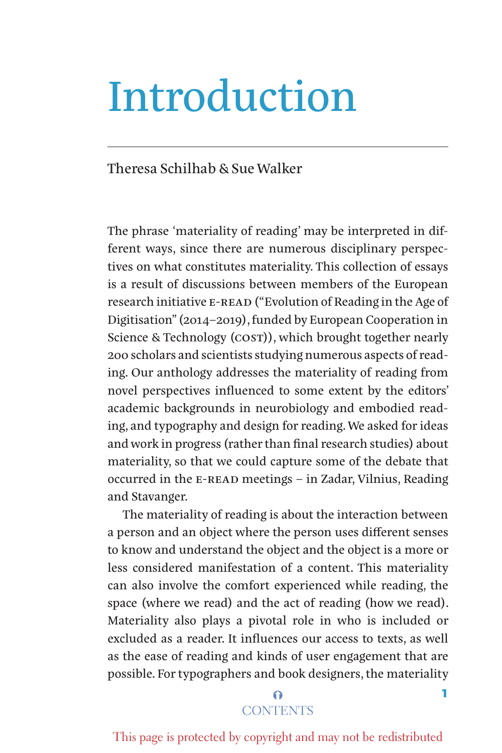# Introduction

## Theresa Schilhab & Sue Walker

The phrase 'materiality of reading' may be interpreted in different ways, since there are numerous disciplinary perspectives on what constitutes materiality. This collection of essays is a result of discussions between members of the European research initiative E-READ ("Evolution of Reading in the Age of Digitisation" (2014–2019), funded by European Cooperation in Science & Technology (COST)), which brought together nearly 200 scholars and scientists studying numerous aspects of reading. Our anthology addresses the materiality of reading from novel perspectives influenced to some extent by the editors' academic backgrounds in neurobiology and embodied reading, and typography and design for reading. We asked for ideas and work in progress (rather than final research studies) about materiality, so that we could capture some of the debate that occurred in the E-READ meetings – in Zadar, Vilnius, Reading and Stavanger.

The materiality of reading is about the interaction between a person and an object where the person uses different senses to know and understand the object and the object is a more or less considered manifestation of a content. This materiality can also involve the comfort experienced while reading, the space (where we read) and the act of reading (how we read). Materiality also plays a pivotal role in who is included or excluded as a reader. It influences our access to texts, as well as the ease of reading and kinds of user engagement that are possible. For typographers and book designers, the materiality

## $\Omega$ **CONTENTS**

1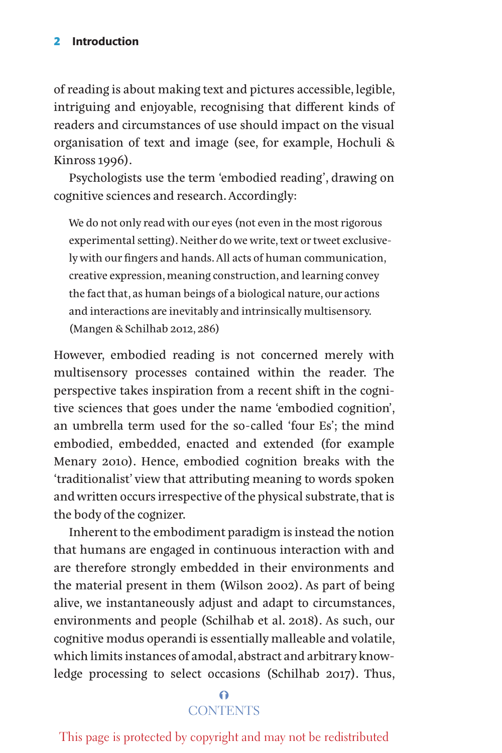#### 2 **Introduction**

of reading is about making text and pictures accessible, legible, intriguing and enjoyable, recognising that different kinds of readers and circumstances of use should impact on the visual organisation of text and image (see, for example, Hochuli & Kinross 1996).

Psychologists use the term 'embodied reading', drawing on cognitive sciences and research. Accordingly:

We do not only read with our eyes (not even in the most rigorous experimental setting). Neither do we write, text or tweet exclusively with our fingers and hands. All acts of human communication, creative expression, meaning construction, and learning convey the fact that, as human beings of a biological nature, our actions and interactions are inevitably and intrinsically multisensory. (Mangen & Schilhab 2012, 286)

However, embodied reading is not concerned merely with multisensory processes contained within the reader. The perspective takes inspiration from a recent shift in the cognitive sciences that goes under the name 'embodied cognition', an umbrella term used for the so-called 'four Es'; the mind embodied, embedded, enacted and extended (for example Menary 2010). Hence, embodied cognition breaks with the 'traditionalist' view that attributing meaning to words spoken and written occurs irrespective of the physical substrate, that is the body of the cognizer.

Inherent to the embodiment paradigm is instead the notion that humans are engaged in continuous interaction with and are therefore strongly embedded in their environments and the material present in them (Wilson 2002). As part of being alive, we instantaneously adjust and adapt to circumstances, environments and people (Schilhab et al. 2018). As such, our cognitive modus operandi is essentially malleable and volatile, which limits instances of amodal, abstract and arbitrary knowledge processing to select occasions (Schilhab 2017). Thus,

# $\Omega$ **CONTENTS**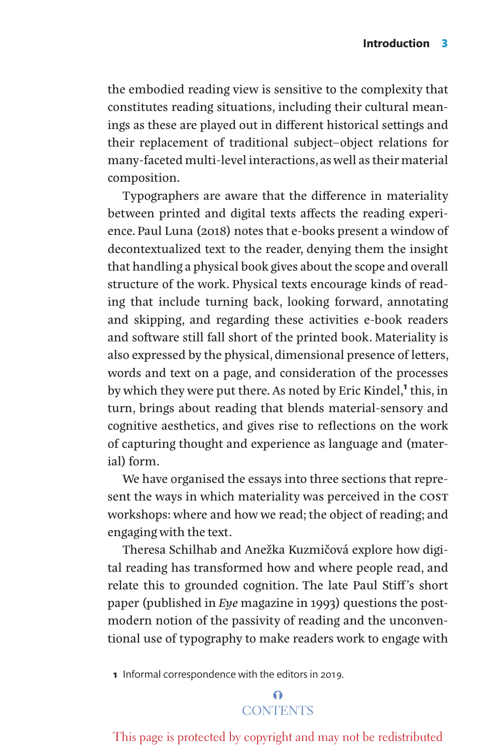the embodied reading view is sensitive to the complexity that constitutes reading situations, including their cultural meanings as these are played out in different historical settings and their replacement of traditional subject–object relations for many-faceted multi-level interactions, as well as their material composition.

Typographers are aware that the difference in materiality between printed and digital texts affects the reading experience. Paul Luna (2018) notes that e-books present a window of decontextualized text to the reader, denying them the insight that handling a physical book gives about the scope and overall structure of the work. Physical texts encourage kinds of reading that include turning back, looking forward, annotating and skipping, and regarding these activities e-book readers and software still fall short of the printed book. Materiality is also expressed by the physical, dimensional presence of letters, words and text on a page, and consideration of the processes by which they were put there. As noted by Eric Kindel,**1** this, in turn, brings about reading that blends material-sensory and cognitive aesthetics, and gives rise to reflections on the work of capturing thought and experience as language and (material) form.

We have organised the essays into three sections that represent the ways in which materiality was perceived in the COST workshops: where and how we read; the object of reading; and engaging with the text.

Theresa Schilhab and Anežka Kuzmičová explore how digital reading has transformed how and where people read, and relate this to grounded cognition. The late Paul Stiff's short paper (published in *Eye* magazine in 1993) questions the postmodern notion of the passivity of reading and the unconventional use of typography to make readers work to engage with

**1** Informal correspondence with the editors in 2019.

# $\Omega$ **CONTENTS**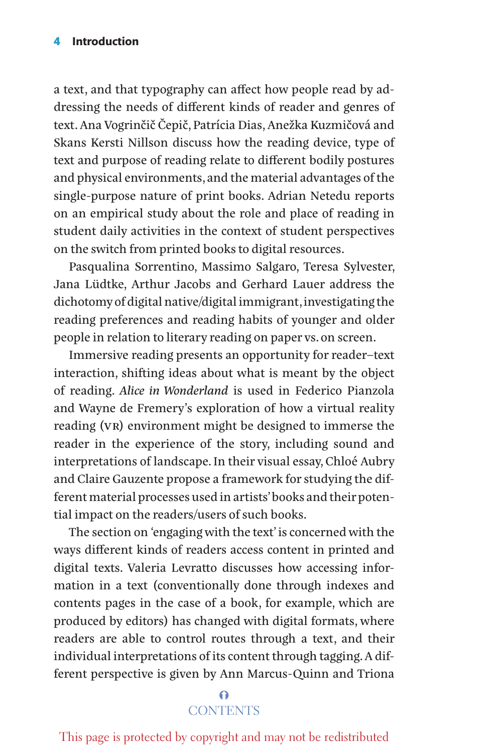a text, and that typography can affect how people read by addressing the needs of different kinds of reader and genres of text. Ana Vogrinčič Čepič, Patrícia Dias, Anežka Kuzmičová and Skans Kersti Nillson discuss how the reading device, type of text and purpose of reading relate to different bodily postures and physical environments, and the material advantages of the single-purpose nature of print books. Adrian Netedu reports on an empirical study about the role and place of reading in student daily activities in the context of student perspectives on the switch from printed books to digital resources.

Pasqualina Sorrentino, Massimo Salgaro, Teresa Sylvester, Jana Lüdtke, Arthur Jacobs and Gerhard Lauer address the dichotomy of digital native/digital immigrant, investigating the reading preferences and reading habits of younger and older people in relation to literary reading on paper vs. on screen.

Immersive reading presents an opportunity for reader–text interaction, shifting ideas about what is meant by the object of reading. *Alice in Wonderland* is used in Federico Pianzola and Wayne de Fremery's exploration of how a virtual reality reading (VR) environment might be designed to immerse the reader in the experience of the story, including sound and interpretations of landscape. In their visual essay, Chloé Aubry and Claire Gauzente propose a framework for studying the different material processes used in artists' books and their potential impact on the readers/users of such books.

The section on 'engaging with the text' is concerned with the ways different kinds of readers access content in printed and digital texts. Valeria Levratto discusses how accessing information in a text (conventionally done through indexes and contents pages in the case of a book, for example, which are produced by editors) has changed with digital formats, where readers are able to control routes through a text, and their individual interpretations of its content through tagging. A different perspective is given by Ann Marcus-Quinn and Triona

# $\Omega$ **CONTENTS**